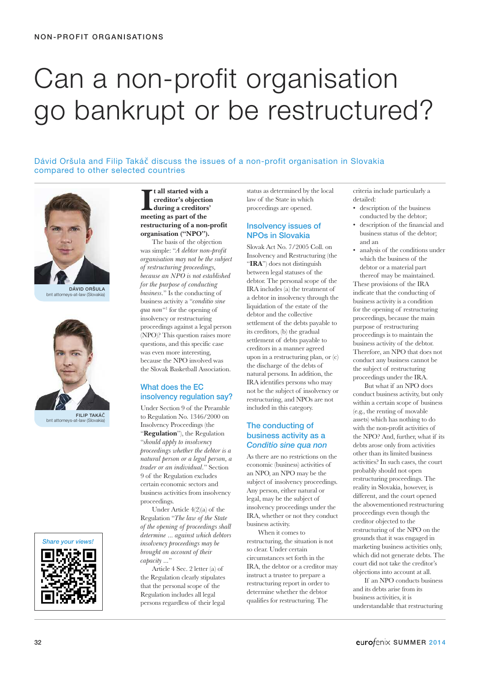# Can a non-profit organisation go bankrupt or be restructured?

Dávid Oršula and Filip Takáč discuss the issues of a non-profit organisation in Slovakia compared to other selected countries



DÁVID ORŠULA bnt attorneys-at-law (Slovakia)



FILIP TAKÁč bnt attorneys-at



**I**<br> **I** creditor's objection<br>
during a creditor<br>
meeting as part of the **t all started with a creditor's objection during a creditors' restructuring of a non-profit organisation ("NPO").**

The basis of the objection was simple: "*A debtor non-profit organisation may not be the subject of restructuring proceedings, because an NPO is not established for the purpose of conducting business.*" Is the conducting of business activity a "*conditio sine qua non*"1 for the opening of insolvency or restructuring proceedings against a legal person (NPO)? This question raises more questions, and this specific case was even more interesting, because the NPO involved was the Slovak Basketball Association.

## What does the EC insolvency regulation say?

Under Section 9 of the Preamble to Regulation No. 1346/2000 on Insolvency Proceedings (the "**Regulation**"), the Regulation "*should apply to insolvency proceedings whether the debtor is a natural person or a legal person, a trader or an individual.*" Section 9 of the Regulation excludes certain economic sectors and business activities from insolvency proceedings.

Under Article 4(2)(a) of the Regulation "*The law of the State of the opening of proceedings shall determine ... against which debtors insolvency proceedings may be brought on account of their capacity ...*"

Article 4 Sec. 2 letter (a) of the Regulation clearly stipulates that the personal scope of the Regulation includes all legal persons regardless of their legal

status as determined by the local law of the State in which proceedings are opened.

## Insolvency issues of NPOs in Slovakia

Slovak Act No. 7/2005 Coll. on Insolvency and Restructuring (the "**IRA**") does not distinguish between legal statuses of the debtor. The personal scope of the IRA includes (a) the treatment of a debtor in insolvency through the liquidation of the estate of the debtor and the collective settlement of the debts payable to its creditors, (b) the gradual settlement of debts payable to creditors in a manner agreed upon in a restructuring plan, or (c) the discharge of the debts of natural persons. In addition, the IRA identifies persons who may not be the subject of insolvency or restructuring, and NPOs are not included in this category.

## The conducting of business activity as a *Conditio sine qua non*

As there are no restrictions on the economic (business) activities of an NPO, an NPO may be the subject of insolvency proceedings. Any person, either natural or legal, may be the subject of insolvency proceedings under the IRA, whether or not they conduct business activity.

When it comes to restructuring, the situation is not so clear. Under certain circumstances set forth in the IRA, the debtor or a creditor may instruct a trustee to prepare a restructuring report in order to determine whether the debtor qualifies for restructuring. The

criteria include particularly a detailed:

- description of the business conducted by the debtor;
- description of the financial and business status of the debtor; and an
- analysis of the conditions under which the business of the debtor or a material part thereof may be maintained.

These provisions of the IRA indicate that the conducting of business activity is a condition for the opening of restructuring proceedings, because the main purpose of restructuring proceedings is to maintain the business activity of the debtor. Therefore, an NPO that does not conduct any business cannot be the subject of restructuring proceedings under the IRA.

But what if an NPO does conduct business activity, but only within a certain scope of business (e.g., the renting of movable assets) which has nothing to do with the non-profit activities of the NPO? And, further, what if its debts arose only from activities other than its limited business activities? In such cases, the court probably should not open restructuring proceedings. The reality in Slovakia, however, is different, and the court opened the abovementioned restructuring proceedings even though the creditor objected to the restructuring of the NPO on the grounds that it was engaged in marketing business activities only, which did not generate debts. The court did not take the creditor's objections into account at all.

If an NPO conducts business and its debts arise from its business activities, it is understandable that restructuring